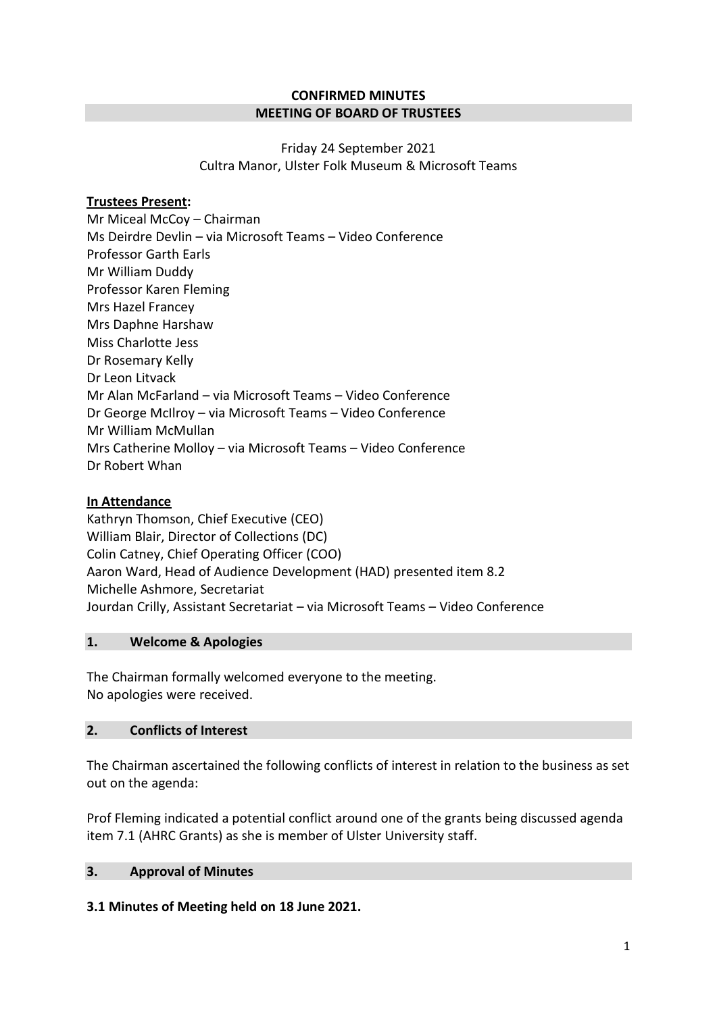## **CONFIRMED MINUTES MEETING OF BOARD OF TRUSTEES**

Friday 24 September 2021 Cultra Manor, Ulster Folk Museum & Microsoft Teams

# **Trustees Present:**

Mr Miceal McCoy – Chairman Ms Deirdre Devlin – via Microsoft Teams – Video Conference Professor Garth Earls Mr William Duddy Professor Karen Fleming Mrs Hazel Francey Mrs Daphne Harshaw Miss Charlotte Jess Dr Rosemary Kelly Dr Leon Litvack Mr Alan McFarland – via Microsoft Teams – Video Conference Dr George McIlroy – via Microsoft Teams – Video Conference Mr William McMullan Mrs Catherine Molloy – via Microsoft Teams – Video Conference Dr Robert Whan

# **In Attendance**

Kathryn Thomson, Chief Executive (CEO) William Blair, Director of Collections (DC) Colin Catney, Chief Operating Officer (COO) Aaron Ward, Head of Audience Development (HAD) presented item 8.2 Michelle Ashmore, Secretariat Jourdan Crilly, Assistant Secretariat – via Microsoft Teams – Video Conference

## **1. Welcome & Apologies**

The Chairman formally welcomed everyone to the meeting. No apologies were received.

## **2. Conflicts of Interest**

The Chairman ascertained the following conflicts of interest in relation to the business as set out on the agenda:

Prof Fleming indicated a potential conflict around one of the grants being discussed agenda item 7.1 (AHRC Grants) as she is member of Ulster University staff.

# **3. Approval of Minutes**

## **3.1 Minutes of Meeting held on 18 June 2021.**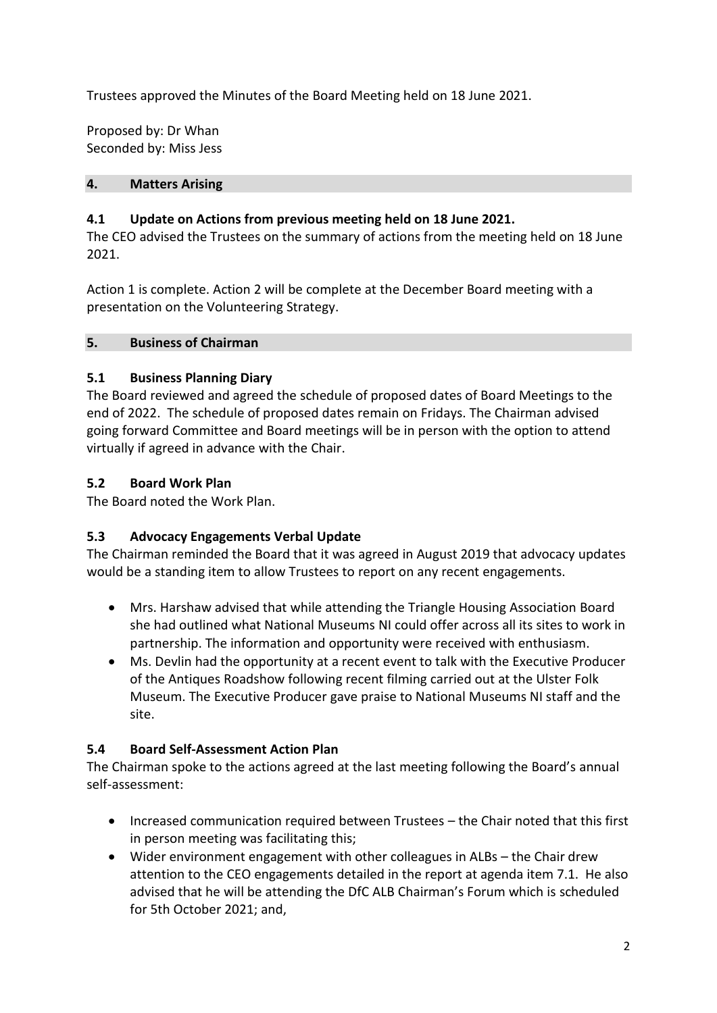Trustees approved the Minutes of the Board Meeting held on 18 June 2021.

Proposed by: Dr Whan Seconded by: Miss Jess

#### **4. Matters Arising**

# **4.1 Update on Actions from previous meeting held on 18 June 2021.**

The CEO advised the Trustees on the summary of actions from the meeting held on 18 June 2021.

Action 1 is complete. Action 2 will be complete at the December Board meeting with a presentation on the Volunteering Strategy.

#### **5. Business of Chairman**

## **5.1 Business Planning Diary**

The Board reviewed and agreed the schedule of proposed dates of Board Meetings to the end of 2022. The schedule of proposed dates remain on Fridays. The Chairman advised going forward Committee and Board meetings will be in person with the option to attend virtually if agreed in advance with the Chair.

## **5.2 Board Work Plan**

The Board noted the Work Plan.

# **5.3 Advocacy Engagements Verbal Update**

The Chairman reminded the Board that it was agreed in August 2019 that advocacy updates would be a standing item to allow Trustees to report on any recent engagements.

- Mrs. Harshaw advised that while attending the Triangle Housing Association Board she had outlined what National Museums NI could offer across all its sites to work in partnership. The information and opportunity were received with enthusiasm.
- Ms. Devlin had the opportunity at a recent event to talk with the Executive Producer of the Antiques Roadshow following recent filming carried out at the Ulster Folk Museum. The Executive Producer gave praise to National Museums NI staff and the site.

## **5.4 Board Self-Assessment Action Plan**

The Chairman spoke to the actions agreed at the last meeting following the Board's annual self-assessment:

- Increased communication required between Trustees the Chair noted that this first in person meeting was facilitating this;
- Wider environment engagement with other colleagues in ALBs the Chair drew attention to the CEO engagements detailed in the report at agenda item 7.1. He also advised that he will be attending the DfC ALB Chairman's Forum which is scheduled for 5th October 2021; and,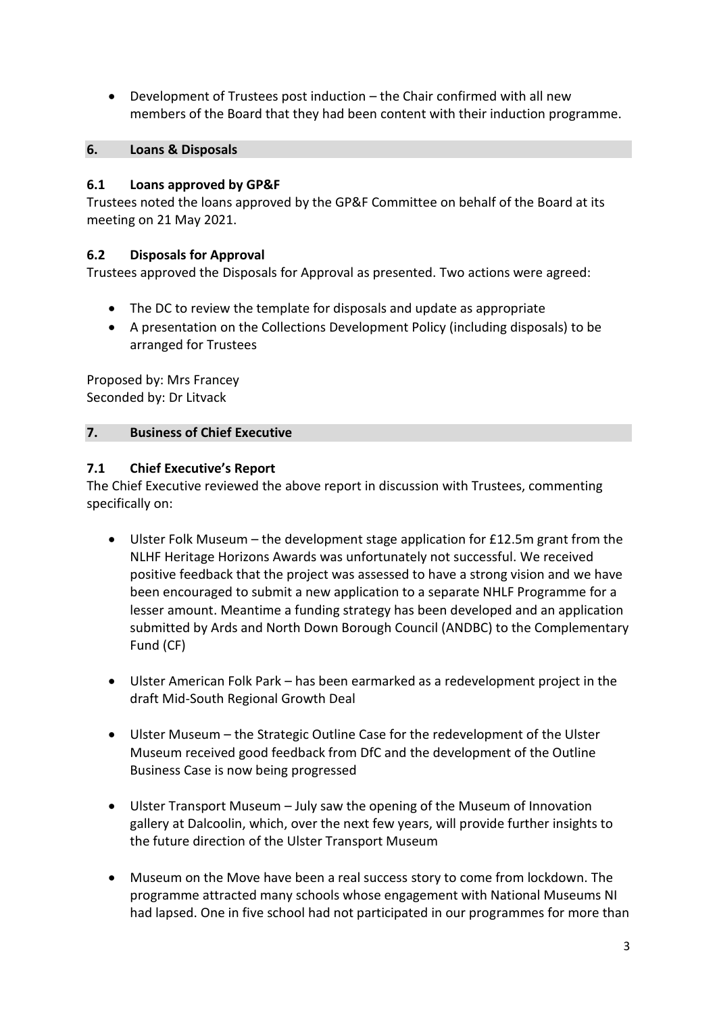Development of Trustees post induction – the Chair confirmed with all new members of the Board that they had been content with their induction programme.

## **6. Loans & Disposals**

## **6.1 Loans approved by GP&F**

Trustees noted the loans approved by the GP&F Committee on behalf of the Board at its meeting on 21 May 2021.

# **6.2 Disposals for Approval**

Trustees approved the Disposals for Approval as presented. Two actions were agreed:

- The DC to review the template for disposals and update as appropriate
- A presentation on the Collections Development Policy (including disposals) to be arranged for Trustees

Proposed by: Mrs Francey Seconded by: Dr Litvack

# **7. Business of Chief Executive**

# **7.1 Chief Executive's Report**

The Chief Executive reviewed the above report in discussion with Trustees, commenting specifically on:

- Ulster Folk Museum the development stage application for £12.5m grant from the NLHF Heritage Horizons Awards was unfortunately not successful. We received positive feedback that the project was assessed to have a strong vision and we have been encouraged to submit a new application to a separate NHLF Programme for a lesser amount. Meantime a funding strategy has been developed and an application submitted by Ards and North Down Borough Council (ANDBC) to the Complementary Fund (CF)
- Ulster American Folk Park has been earmarked as a redevelopment project in the draft Mid-South Regional Growth Deal
- Ulster Museum the Strategic Outline Case for the redevelopment of the Ulster Museum received good feedback from DfC and the development of the Outline Business Case is now being progressed
- Ulster Transport Museum July saw the opening of the Museum of Innovation gallery at Dalcoolin, which, over the next few years, will provide further insights to the future direction of the Ulster Transport Museum
- Museum on the Move have been a real success story to come from lockdown. The programme attracted many schools whose engagement with National Museums NI had lapsed. One in five school had not participated in our programmes for more than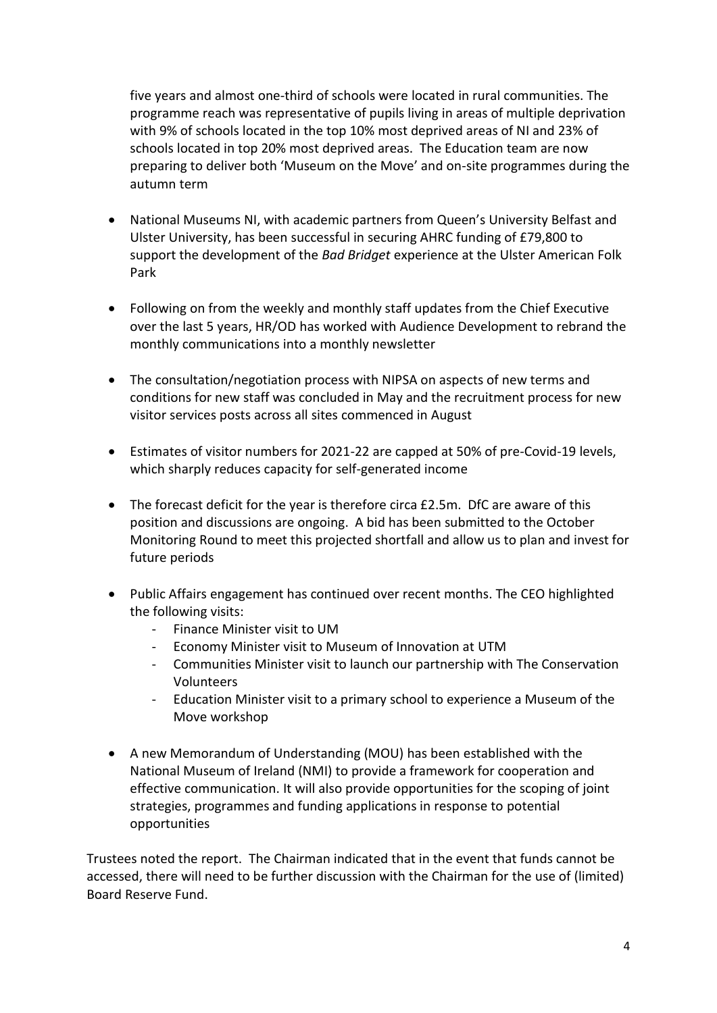five years and almost one-third of schools were located in rural communities. The programme reach was representative of pupils living in areas of multiple deprivation with 9% of schools located in the top 10% most deprived areas of NI and 23% of schools located in top 20% most deprived areas. The Education team are now preparing to deliver both 'Museum on the Move' and on-site programmes during the autumn term

- National Museums NI, with academic partners from Queen's University Belfast and Ulster University, has been successful in securing AHRC funding of £79,800 to support the development of the *Bad Bridget* experience at the Ulster American Folk Park
- Following on from the weekly and monthly staff updates from the Chief Executive over the last 5 years, HR/OD has worked with Audience Development to rebrand the monthly communications into a monthly newsletter
- The consultation/negotiation process with NIPSA on aspects of new terms and conditions for new staff was concluded in May and the recruitment process for new visitor services posts across all sites commenced in August
- Estimates of visitor numbers for 2021-22 are capped at 50% of pre-Covid-19 levels, which sharply reduces capacity for self-generated income
- The forecast deficit for the year is therefore circa £2.5m. DfC are aware of this position and discussions are ongoing. A bid has been submitted to the October Monitoring Round to meet this projected shortfall and allow us to plan and invest for future periods
- Public Affairs engagement has continued over recent months. The CEO highlighted the following visits:
	- Finance Minister visit to UM
	- Economy Minister visit to Museum of Innovation at UTM
	- Communities Minister visit to launch our partnership with The Conservation Volunteers
	- Education Minister visit to a primary school to experience a Museum of the Move workshop
- A new Memorandum of Understanding (MOU) has been established with the National Museum of Ireland (NMI) to provide a framework for cooperation and effective communication. It will also provide opportunities for the scoping of joint strategies, programmes and funding applications in response to potential opportunities

Trustees noted the report. The Chairman indicated that in the event that funds cannot be accessed, there will need to be further discussion with the Chairman for the use of (limited) Board Reserve Fund.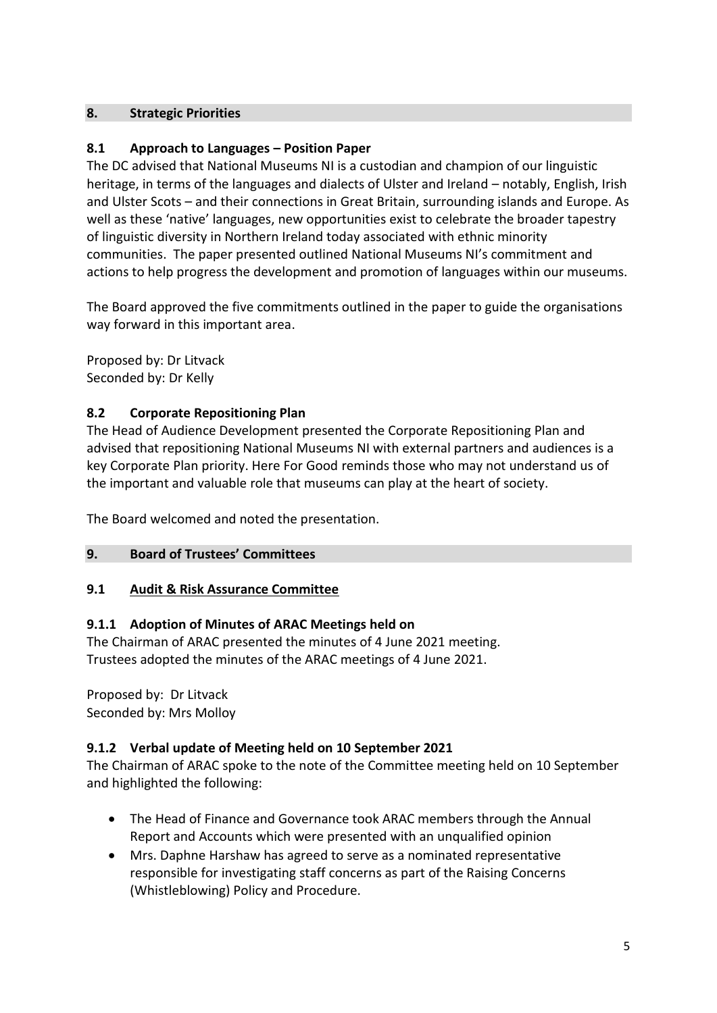## **8. Strategic Priorities**

# **8.1 Approach to Languages – Position Paper**

The DC advised that National Museums NI is a custodian and champion of our linguistic heritage, in terms of the languages and dialects of Ulster and Ireland – notably, English, Irish and Ulster Scots – and their connections in Great Britain, surrounding islands and Europe. As well as these 'native' languages, new opportunities exist to celebrate the broader tapestry of linguistic diversity in Northern Ireland today associated with ethnic minority communities. The paper presented outlined National Museums NI's commitment and actions to help progress the development and promotion of languages within our museums.

The Board approved the five commitments outlined in the paper to guide the organisations way forward in this important area.

Proposed by: Dr Litvack Seconded by: Dr Kelly

# **8.2 Corporate Repositioning Plan**

The Head of Audience Development presented the Corporate Repositioning Plan and advised that repositioning National Museums NI with external partners and audiences is a key Corporate Plan priority. Here For Good reminds those who may not understand us of the important and valuable role that museums can play at the heart of society.

The Board welcomed and noted the presentation.

## **9. Board of Trustees' Committees**

## **9.1 Audit & Risk Assurance Committee**

## **9.1.1 Adoption of Minutes of ARAC Meetings held on**

The Chairman of ARAC presented the minutes of 4 June 2021 meeting. Trustees adopted the minutes of the ARAC meetings of 4 June 2021.

Proposed by: Dr Litvack Seconded by: Mrs Molloy

## **9.1.2 Verbal update of Meeting held on 10 September 2021**

The Chairman of ARAC spoke to the note of the Committee meeting held on 10 September and highlighted the following:

- The Head of Finance and Governance took ARAC members through the Annual Report and Accounts which were presented with an unqualified opinion
- Mrs. Daphne Harshaw has agreed to serve as a nominated representative responsible for investigating staff concerns as part of the Raising Concerns (Whistleblowing) Policy and Procedure.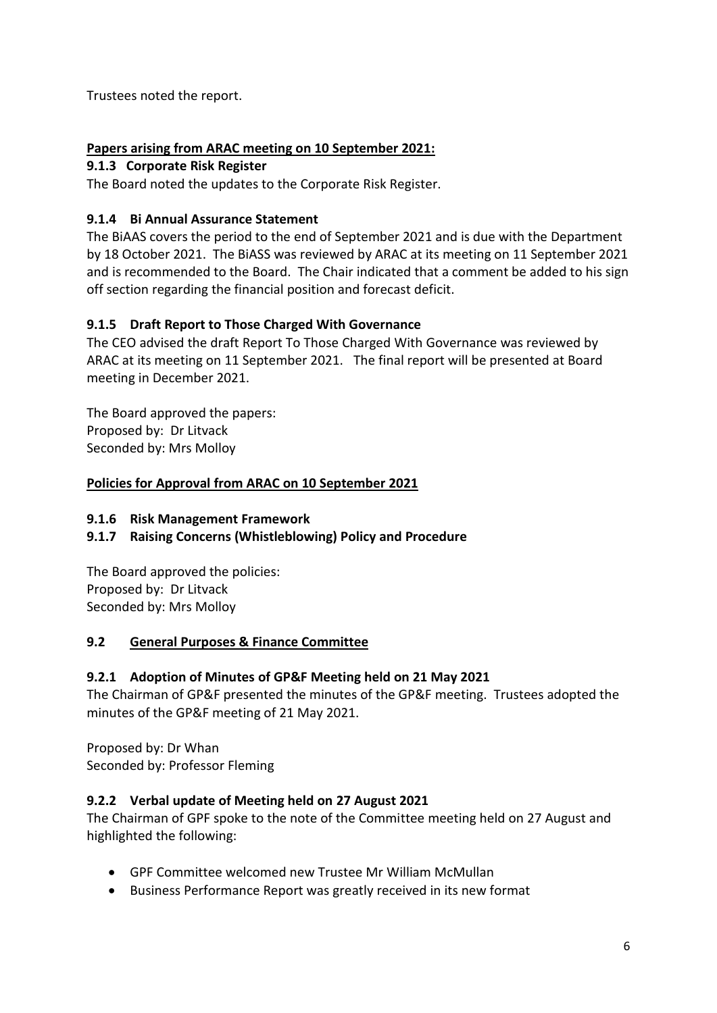Trustees noted the report.

# **Papers arising from ARAC meeting on 10 September 2021:**

# **9.1.3 Corporate Risk Register**

The Board noted the updates to the Corporate Risk Register.

# **9.1.4 Bi Annual Assurance Statement**

The BiAAS covers the period to the end of September 2021 and is due with the Department by 18 October 2021. The BiASS was reviewed by ARAC at its meeting on 11 September 2021 and is recommended to the Board. The Chair indicated that a comment be added to his sign off section regarding the financial position and forecast deficit.

# **9.1.5 Draft Report to Those Charged With Governance**

The CEO advised the draft Report To Those Charged With Governance was reviewed by ARAC at its meeting on 11 September 2021. The final report will be presented at Board meeting in December 2021.

The Board approved the papers: Proposed by: Dr Litvack Seconded by: Mrs Molloy

# **Policies for Approval from ARAC on 10 September 2021**

## **9.1.6 Risk Management Framework**

# **9.1.7 Raising Concerns (Whistleblowing) Policy and Procedure**

The Board approved the policies: Proposed by: Dr Litvack Seconded by: Mrs Molloy

## **9.2 General Purposes & Finance Committee**

# **9.2.1 Adoption of Minutes of GP&F Meeting held on 21 May 2021**

The Chairman of GP&F presented the minutes of the GP&F meeting. Trustees adopted the minutes of the GP&F meeting of 21 May 2021.

Proposed by: Dr Whan Seconded by: Professor Fleming

# **9.2.2 Verbal update of Meeting held on 27 August 2021**

The Chairman of GPF spoke to the note of the Committee meeting held on 27 August and highlighted the following:

- GPF Committee welcomed new Trustee Mr William McMullan
- Business Performance Report was greatly received in its new format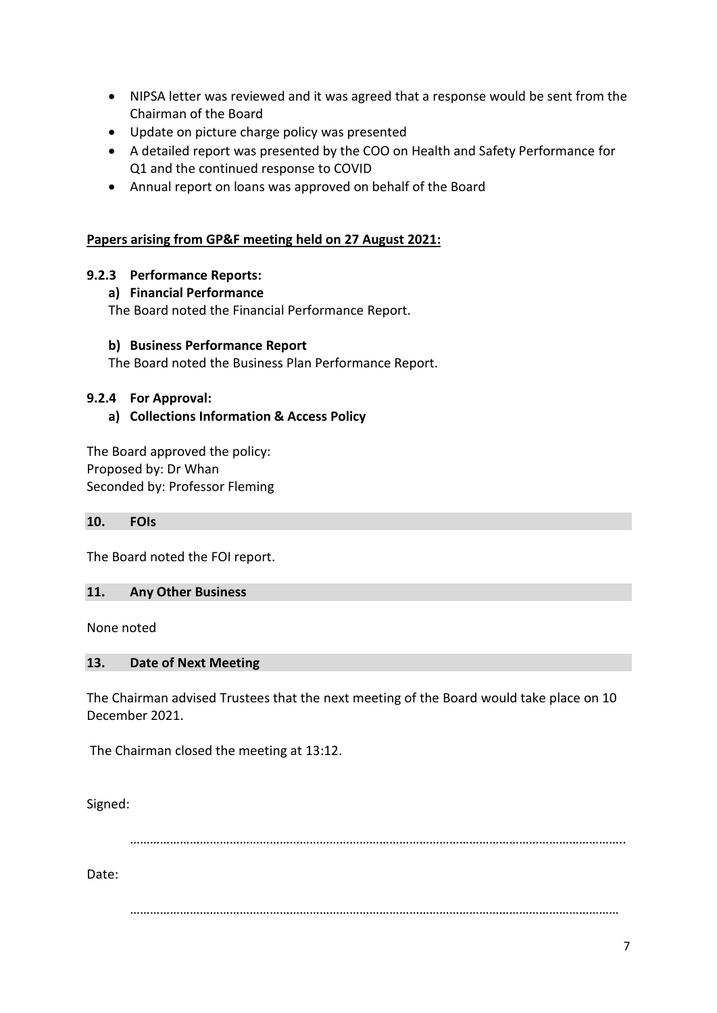- NIPSA letter was reviewed and it was agreed that a response would be sent from the Chairman of the Board
- Update on picture charge policy was presented
- A detailed report was presented by the COO on Health and Safety Performance for Q1 and the continued response to COVID
- Annual report on loans was approved on behalf of the Board

#### **Papers arising from GP&F meeting held on 27 August 2021:**

## **9.2.3 Performance Reports:**

#### **a) Financial Performance**

The Board noted the Financial Performance Report.

#### **b) Business Performance Report**

The Board noted the Business Plan Performance Report.

#### **9.2.4 For Approval:**

## **a) Collections Information & Access Policy**

The Board approved the policy: Proposed by: Dr Whan Seconded by: Professor Fleming

**10. FOIs**

The Board noted the FOI report.

#### **11. Any Other Business**

None noted

#### **13. Date of Next Meeting**

The Chairman advised Trustees that the next meeting of the Board would take place on 10 December 2021.

The Chairman closed the meeting at 13:12.

Signed:

…………………………………………………………………………………………………………………………………..

Date:

…………………………………………………………………………………………………………………………………